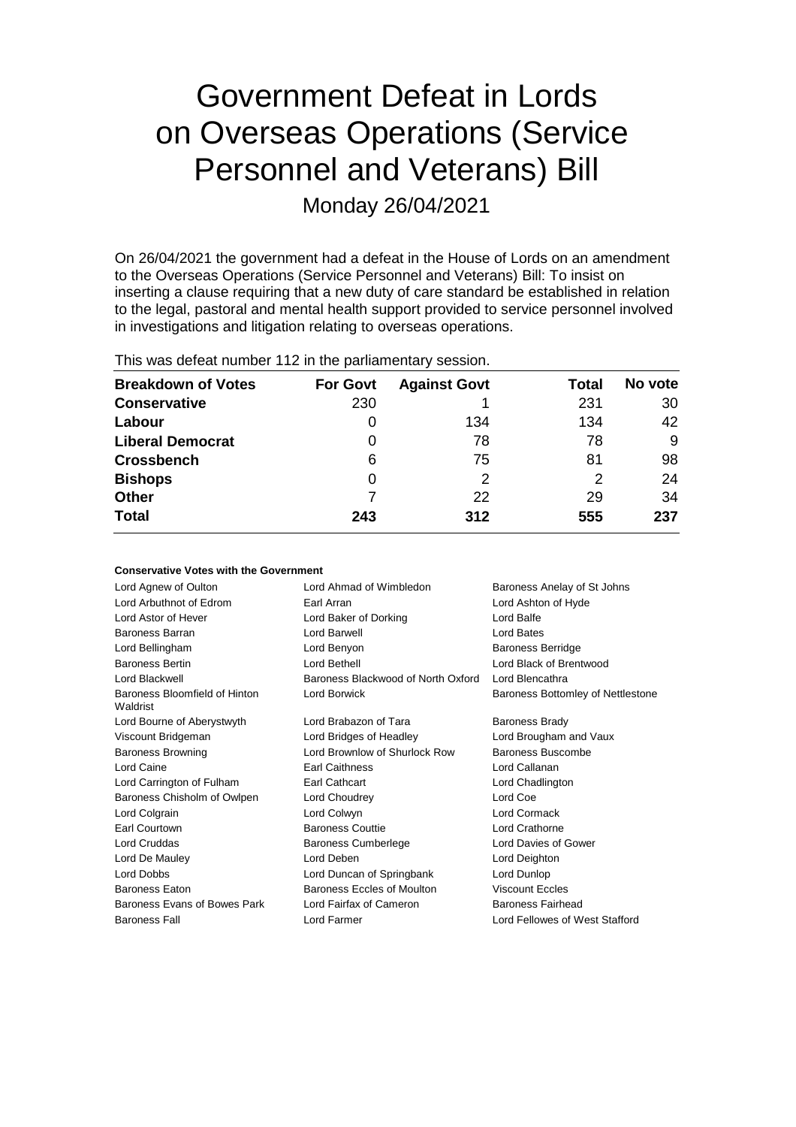# Government Defeat in Lords on Overseas Operations (Service Personnel and Veterans) Bill

Monday 26/04/2021

On 26/04/2021 the government had a defeat in the House of Lords on an amendment to the Overseas Operations (Service Personnel and Veterans) Bill: To insist on inserting a clause requiring that a new duty of care standard be established in relation to the legal, pastoral and mental health support provided to service personnel involved in investigations and litigation relating to overseas operations.

|  |  |  |  |  | This was defeat number 112 in the parliamentary session. |  |
|--|--|--|--|--|----------------------------------------------------------|--|
|--|--|--|--|--|----------------------------------------------------------|--|

**Conservative Votes with the Government**

| <b>Breakdown of Votes</b> | <b>For Govt</b> | <b>Against Govt</b> | Total | No vote |
|---------------------------|-----------------|---------------------|-------|---------|
| <b>Conservative</b>       | 230             |                     | 231   | 30      |
| Labour                    | 0               | 134                 | 134   | 42      |
| <b>Liberal Democrat</b>   | 0               | 78                  | 78    | 9       |
| <b>Crossbench</b>         | 6               | 75                  | 81    | 98      |
| <b>Bishops</b>            | 0               |                     | 2     | 24      |
| <b>Other</b>              |                 | 22                  | 29    | 34      |
| <b>Total</b>              | 243             | 312                 | 555   | 237     |

| Lord Agnew of Oulton                      | Lord Ahmad of Wimbledon            | Baroness Anelay of St Johns       |
|-------------------------------------------|------------------------------------|-----------------------------------|
| Lord Arbuthnot of Edrom                   | Earl Arran                         | Lord Ashton of Hyde               |
| Lord Astor of Hever                       | Lord Baker of Dorking              | Lord Balfe                        |
| Baroness Barran                           | Lord Barwell                       | Lord Bates                        |
| Lord Bellingham                           | Lord Benyon                        | <b>Baroness Berridge</b>          |
| <b>Baroness Bertin</b>                    | Lord Bethell                       | Lord Black of Brentwood           |
| Lord Blackwell                            | Baroness Blackwood of North Oxford | Lord Blencathra                   |
| Baroness Bloomfield of Hinton<br>Waldrist | Lord Borwick                       | Baroness Bottomley of Nettlestone |
| Lord Bourne of Aberystwyth                | Lord Brabazon of Tara              | <b>Baroness Brady</b>             |
| Viscount Bridgeman                        | Lord Bridges of Headley            | Lord Brougham and Vaux            |
| <b>Baroness Browning</b>                  | Lord Brownlow of Shurlock Row      | Baroness Buscombe                 |
| Lord Caine                                | <b>Earl Caithness</b>              | Lord Callanan                     |
| Lord Carrington of Fulham                 | Earl Cathcart                      | Lord Chadlington                  |
| Baroness Chisholm of Owlpen               | Lord Choudrey                      | Lord Coe                          |
| Lord Colgrain                             | Lord Colwyn                        | Lord Cormack                      |
| Earl Courtown                             | <b>Baroness Couttie</b>            | Lord Crathorne                    |
| Lord Cruddas                              | <b>Baroness Cumberlege</b>         | Lord Davies of Gower              |
| Lord De Mauley                            | Lord Deben                         | Lord Deighton                     |
| Lord Dobbs                                | Lord Duncan of Springbank          | Lord Dunlop                       |
| <b>Baroness Eaton</b>                     | Baroness Eccles of Moulton         | <b>Viscount Eccles</b>            |
| Baroness Evans of Bowes Park              | Lord Fairfax of Cameron            | Baroness Fairhead                 |
| <b>Baroness Fall</b>                      | Lord Farmer                        | Lord Fellowes of West Stafford    |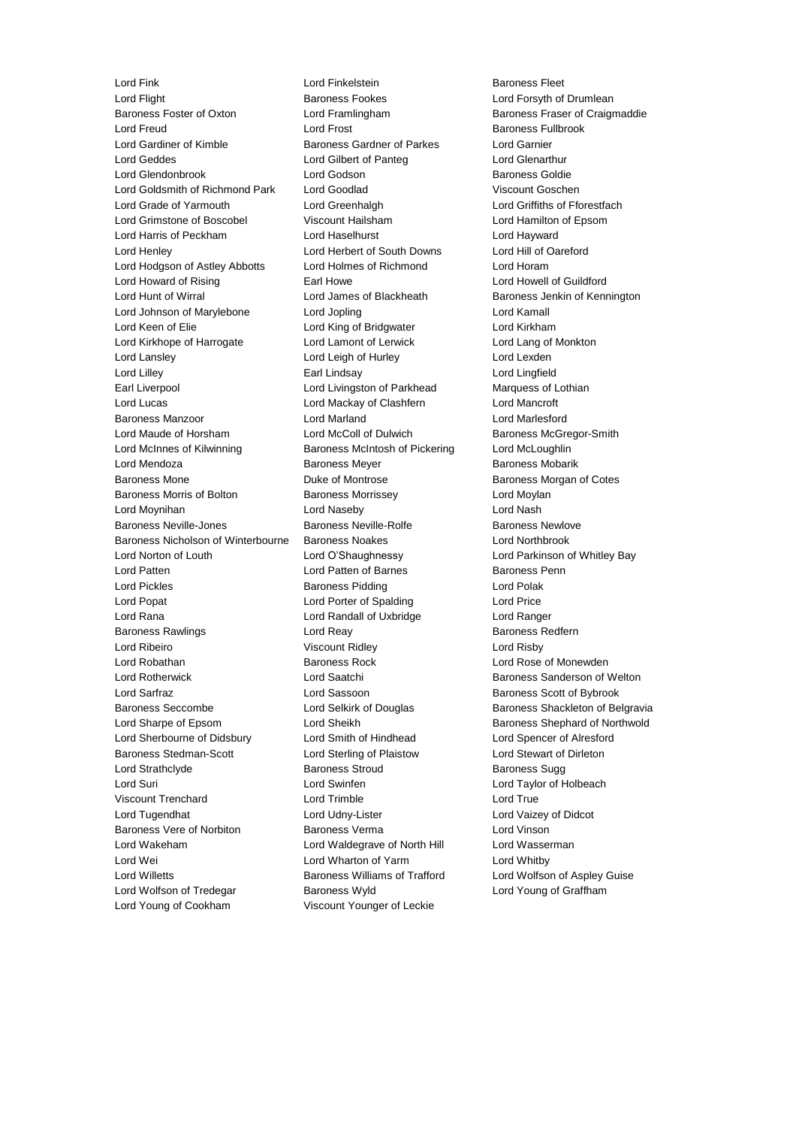Lord Flight **Communist Communist Baroness Fookes** Lord Forsyth of Drumlean<br>Baroness Foster of Oxton **Lord Framlingham** Baroness Fraser of Craigr Lord Freud Lord Frost Baroness Fullbrook Lord Gardiner of Kimble Baroness Gardner of Parkes Lord Garnier Lord Geddes Lord Gilbert of Panteg Lord Glenarthur Lord Glendonbrook Lord Godson Baroness Goldie Lord Goldsmith of Richmond Park Lord Goodlad Viscount Goschen Lord Grade of Yarmouth Lord Greenhalgh Lord Griffiths of Fforestfach Lord Grimstone of Boscobel Viscount Hailsham Lord Hamilton of Epsom Lord Harris of Peckham Lord Haselhurst Lord Hayward Lord Henley Lord Herbert of South Downs Lord Hill of Oareford Lord Hodgson of Astley Abbotts Lord Holmes of Richmond Lord Horam Lord Howard of Rising **Earl Howe Lord Howell of Guildford** Earl Howe **Lord Howell of Guildford** Lord Hunt of Wirral Lord James of Blackheath Baroness Jenkin of Kennington Lord Johnson of Marylebone Lord Jopling Lord Kamall Lord Keen of Elie Lord King of Bridgwater Lord Kirkham Lord Kirkhope of Harrogate Lord Lamont of Lerwick Lord Lang of Monkton Lord Lansley Lord Leigh of Hurley Lord Lexden Lord Lilley Earl Lindsay Lord Lingfield Earl Liverpool Lord Livingston of Parkhead Marquess of Lothian Lord Lucas Lord Mackay of Clashfern Lord Mancroft Baroness Manzoor Lord Marland Lord Marlesford Lord Maude of Horsham **Lord McColl of Dulwich** Baroness McGregor-Smith Lord McInnes of Kilwinning Baroness McIntosh of Pickering Lord McLoughlin Lord Mendoza **Baroness Meyer** Baroness Meyer Baroness Mobarik Baroness Mone **Baroness Montrose Duke of Montrose Baroness Morgan of Cotes** Baroness Morris of Bolton **Baroness Morrissey Lord Moylan** Lord Moynihan Lord Naseby Lord Nash Baroness Neville-Jones Baroness Neville-Rolfe Baroness Newlove Baroness Nicholson of Winterbourne Baroness Noakes Lord Northbrook Lord Norton of Louth Lord O'Shaughnessy Lord Parkinson of Whitley Bay Lord Patten **Lord Patten of Barnes** Baroness Penn Lord Pickles **Baroness Pidding Constructs** Lord Polak Lord Popat Lord Porter of Spalding Lord Price Lord Rana Lord Randall of Uxbridge Lord Ranger Baroness Rawlings **Baroness Redfern** Lord Reay **Baroness Redfern** Lord Ribeiro Viscount Ridley Lord Risby Lord Robathan **Baroness Rock** Lord Rose of Monewden Lord Rotherwick **Lord Saatchi** Baroness Sanderson of Welton Lord Sarfraz **Lord Sassoon** Baroness Scott of Bybrook Baroness Seccombe **Lord Selkirk of Douglas** Baroness Shackleton of Belgravia Lord Sharpe of Epsom Lord Sheikh Baroness Shephard of Northwold Lord Sherbourne of Didsbury Lord Smith of Hindhead Lord Spencer of Alresford Baroness Stedman-Scott Lord Sterling of Plaistow Lord Stewart of Dirleton Lord Strathclyde **Baroness Stroud** Baroness Stroud Baroness Sugg Lord Suri Lord Swinfen Lord Taylor of Holbeach Viscount Trenchard Lord Trimble Lord True Lord Tugendhat Lord Udny-Lister Lord Vaizey of Didcot Baroness Vere of Norbiton Baroness Verma Lord Vinson Lord Wakeham Lord Waldegrave of North Hill Lord Wasserman Lord Wei Lord Wharton of Yarm Lord Whitby Lord Willetts **Baroness Williams of Trafford** Lord Wolfson of Aspley Guise Lord Wolfson of Tredegar **Baroness Wyld** Lord Young of Graffham Lord Young of Cookham Viscount Younger of Leckie

Lord Fink **Lord Finkelstein** Baroness Fleet

Lord Framlingham Baroness Fraser of Craigmaddie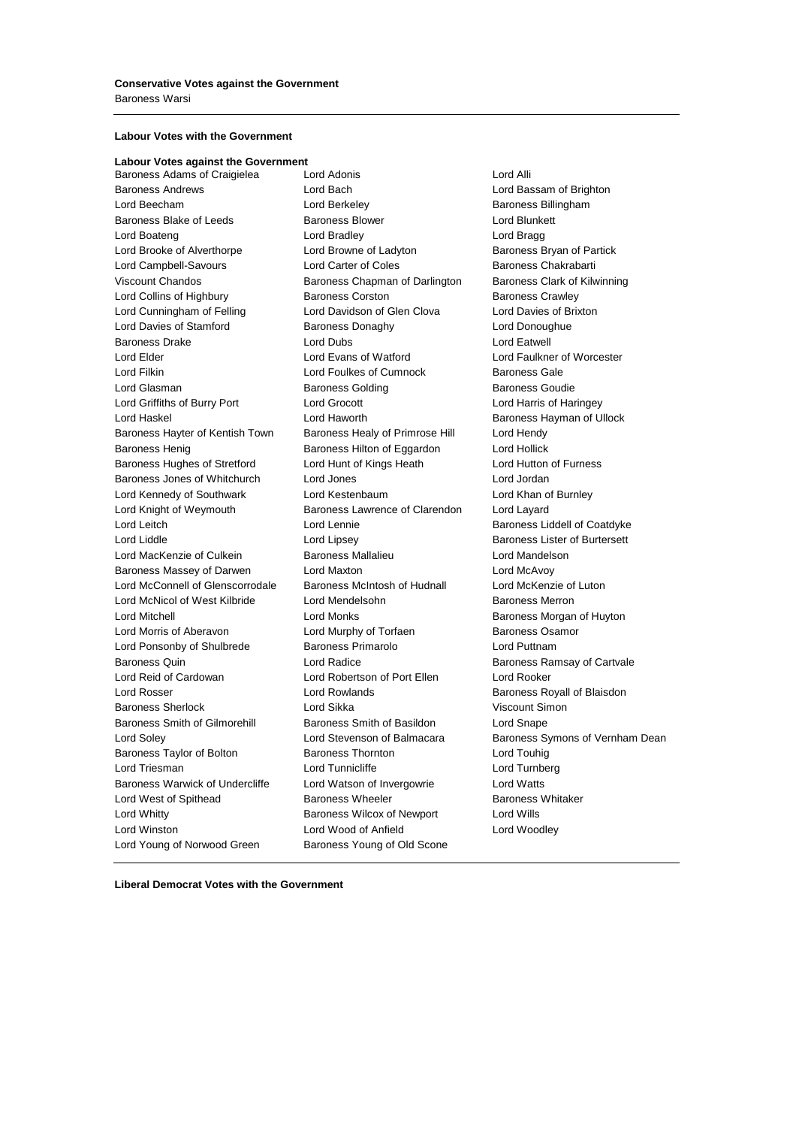### **Labour Votes with the Government**

**Labour Votes against the Government** Baroness Adams of Craigielea Lord Adonis Lord Annual Lord Alli Baroness Andrews Lord Bach Lord Bassam of Brighton Lord Beecham **Lord Berkeley Baroness Billingham** Baroness Blake of Leeds Baroness Blower **Baroness Blower** Lord Blunkett Lord Boateng **Lord Bradley** Lord Bradley **Lord Bragg** Lord Brooke of Alverthorpe **Lord Browne of Ladyton** Baroness Bryan of Partick Lord Campbell-Savours Lord Carter of Coles Baroness Chakrabarti Viscount Chandos **Baroness Chapman of Darlington** Baroness Clark of Kilwinning Lord Collins of Highbury Baroness Corston Baroness Crawley Lord Cunningham of Felling Lord Davidson of Glen Clova Lord Davies of Brixton Lord Davies of Stamford **Baroness Donaghy Baroness Donaghy** Lord Donoughue Baroness Drake **Lord Dubs** Lord Dubs **Lord Eatwell** Lord Elder Lord Evans of Watford Lord Faulkner of Worcester Lord Filkin Lord Foulkes of Cumnock Baroness Gale Lord Glasman **Baroness Golding** Baroness Goudie Lord Griffiths of Burry Port Lord Grocott Lord Harris of Haringey Lord Haskel **Lord Haworth** Cord Haworth Baroness Hayman of Ullock Baroness Hayter of Kentish Town Baroness Healy of Primrose Hill Lord Hendy Baroness Henig Baroness Hilton of Eggardon Lord Hollick Baroness Hughes of Stretford Lord Hunt of Kings Heath Lord Hutton of Furness Baroness Jones of Whitchurch Lord Jones Lord Jordan Lord Kennedy of Southwark Lord Kestenbaum Lord Khan of Burnley Lord Knight of Weymouth Baroness Lawrence of Clarendon Lord Layard Lord Leitch **Lord Lennie** Lord Lennie **Baroness Liddell of Coatdyke** Lord Liddle **Lord Lipsey** Lord Lipsey **Baroness Lister of Burtersett** Lord MacKenzie of Culkein Baroness Mallalieu Lord Mandelson Baroness Massey of Darwen Lord Maxton Lord McAvoy Lord McConnell of Glenscorrodale Baroness McIntosh of Hudnall Lord McKenzie of Luton Lord McNicol of West Kilbride Lord Mendelsohn Baroness Merron Lord Mitchell Lord Monks Baroness Morgan of Huyton Lord Morris of Aberavon **Lord Murphy of Torfaen** Baroness Osamor Lord Ponsonby of Shulbrede Baroness Primarolo Lord Puttnam Baroness Quin Lord Radice Baroness Ramsay of Cartvale Lord Reid of Cardowan Lord Robertson of Port Ellen Lord Rooker Lord Rosser **Lord Rowlands Communist Communist Except** Baroness Royall of Blaisdon Baroness Sherlock Lord Sikka Viscount Simon Baroness Smith of Gilmorehill Baroness Smith of Basildon Lord Snape Lord Soley Lord Stevenson of Balmacara Baroness Symons of Vernham Dean Baroness Taylor of Bolton **Baroness Thornton** Baroness Thornton **Lord Touhig** Lord Triesman **Lord Tunnicliffe** Lord Tunnicliffe Lord Turnberg Baroness Warwick of Undercliffe Lord Watson of Invergowrie Lord Watts Lord West of Spithead **Baroness Wheeler** Baroness Whitaker Lord Whitty Baroness Wilcox of Newport Lord Wills Lord Winston Lord Wood of Anfield Lord Woodley Lord Young of Norwood Green Baroness Young of Old Scone

**Liberal Democrat Votes with the Government**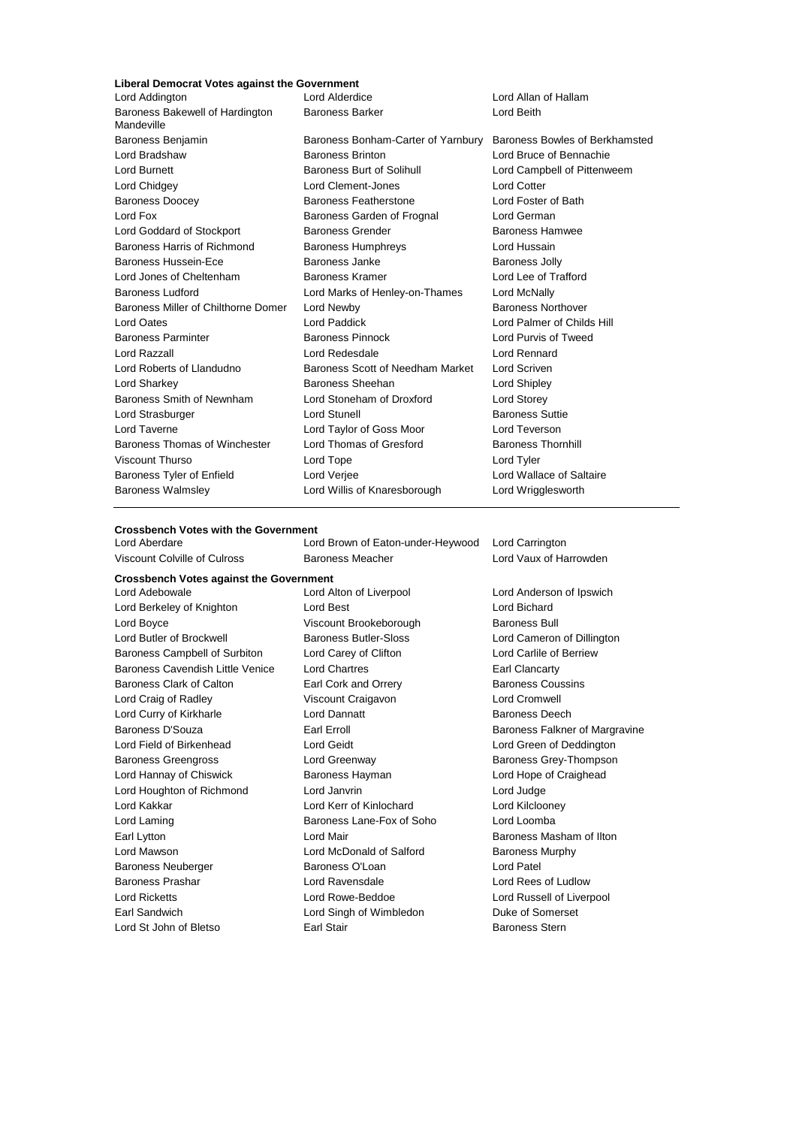## **Liberal Democrat Votes against the Government**

| Lord Addington                                | Lord Alderdice                     | Lord Allan of Hallam           |
|-----------------------------------------------|------------------------------------|--------------------------------|
| Baroness Bakewell of Hardington<br>Mandeville | <b>Baroness Barker</b>             | Lord Beith                     |
| Baroness Benjamin                             | Baroness Bonham-Carter of Yarnbury | Baroness Bowles of Berkhamsted |
| Lord Bradshaw                                 | <b>Baroness Brinton</b>            | Lord Bruce of Bennachie        |
| Lord Burnett                                  | Baroness Burt of Solihull          | Lord Campbell of Pittenweem    |
| Lord Chidgey                                  | Lord Clement-Jones                 | <b>Lord Cotter</b>             |
| <b>Baroness Doocey</b>                        | <b>Baroness Featherstone</b>       | Lord Foster of Bath            |
| Lord Fox                                      | Baroness Garden of Frognal         | Lord German                    |
| Lord Goddard of Stockport                     | <b>Baroness Grender</b>            | Baroness Hamwee                |
| Baroness Harris of Richmond                   | <b>Baroness Humphreys</b>          | Lord Hussain                   |
| <b>Baroness Hussein-Ece</b>                   | Baroness Janke                     | <b>Baroness Jolly</b>          |
| Lord Jones of Cheltenham                      | Baroness Kramer                    | Lord Lee of Trafford           |
| <b>Baroness Ludford</b>                       | Lord Marks of Henley-on-Thames     | Lord McNally                   |
| Baroness Miller of Chilthorne Domer           | Lord Newby                         | <b>Baroness Northover</b>      |
| Lord Oates                                    | Lord Paddick                       | Lord Palmer of Childs Hill     |
| <b>Baroness Parminter</b>                     | <b>Baroness Pinnock</b>            | Lord Purvis of Tweed           |
| Lord Razzall                                  | Lord Redesdale                     | Lord Rennard                   |
| Lord Roberts of Llandudno                     | Baroness Scott of Needham Market   | Lord Scriven                   |
| Lord Sharkey                                  | Baroness Sheehan                   | Lord Shipley                   |
| Baroness Smith of Newnham                     | Lord Stoneham of Droxford          | Lord Storey                    |
| Lord Strasburger                              | <b>Lord Stunell</b>                | <b>Baroness Suttie</b>         |
| Lord Taverne                                  | Lord Taylor of Goss Moor           | Lord Teverson                  |
| Baroness Thomas of Winchester                 | Lord Thomas of Gresford            | <b>Baroness Thornhill</b>      |
| <b>Viscount Thurso</b>                        | Lord Tope                          | Lord Tyler                     |
| Baroness Tyler of Enfield                     | Lord Verjee                        | Lord Wallace of Saltaire       |
| <b>Baroness Walmsley</b>                      | Lord Willis of Knaresborough       | Lord Wrigglesworth             |

#### **Crossbench Votes with the Government**

Lord Aberdare Lord Brown of Eaton-under-Heywood Lord Carrington Viscount Colville of Culross **Baroness Meacher** Lord Vaux of Harrowden

**Crossbench Votes against the Government** Lord Adebowale Lord Alton of Liverpool Lord Anderson of Ipswich Lord Berkeley of Knighton **Lord Best** Lord Bichard Lord Bichard Lord Boyce **No. 2018** Viscount Brookeborough **Baroness Bull** Lord Butler of Brockwell **Baroness Butler-Sloss** Lord Cameron of Dillington Baroness Campbell of Surbiton Lord Carey of Clifton Lord Carlile of Berriew Baroness Cavendish Little Venice Lord Chartres **Earl Clancarty** Earl Clancarty Baroness Clark of Calton **Earl Cork and Orrery Baroness Coussins Baroness Coussins** Lord Craig of Radley Viscount Craigavon Lord Cromwell Lord Curry of Kirkharle Lord Dannatt Baroness Deech Baroness D'Souza **Earl Executes Earl Erroll** Baroness Falkner of Margravine Lord Field of Birkenhead Lord Geidt Lord Green of Deddington Baroness Greengross **Lord Greenway** Baroness Grey-Thompson Lord Hannay of Chiswick Baroness Hayman Lord Hope of Craighead Lord Houghton of Richmond Lord Janvrin Lord Judge Lord Kakkar **Lord Kerr of Kinlochard** Lord Kellooney Lord Laming **Baroness Lane-Fox of Soho** Lord Loomba Earl Lytton Lord Mair Baroness Masham of Ilton Lord Mawson **Lord McDonald of Salford** Baroness Murphy Baroness Neuberger **Baroness O'Loan** Lord Patel Baroness Prashar Lord Ravensdale Lord Rees of Ludlow Lord Ricketts Lord Rowe-Beddoe Lord Russell of Liverpool Earl Sandwich **Lord Singh of Wimbledon** Duke of Somerset Lord St John of Bletso **Earl Stair** Baroness Stern Baroness Stern